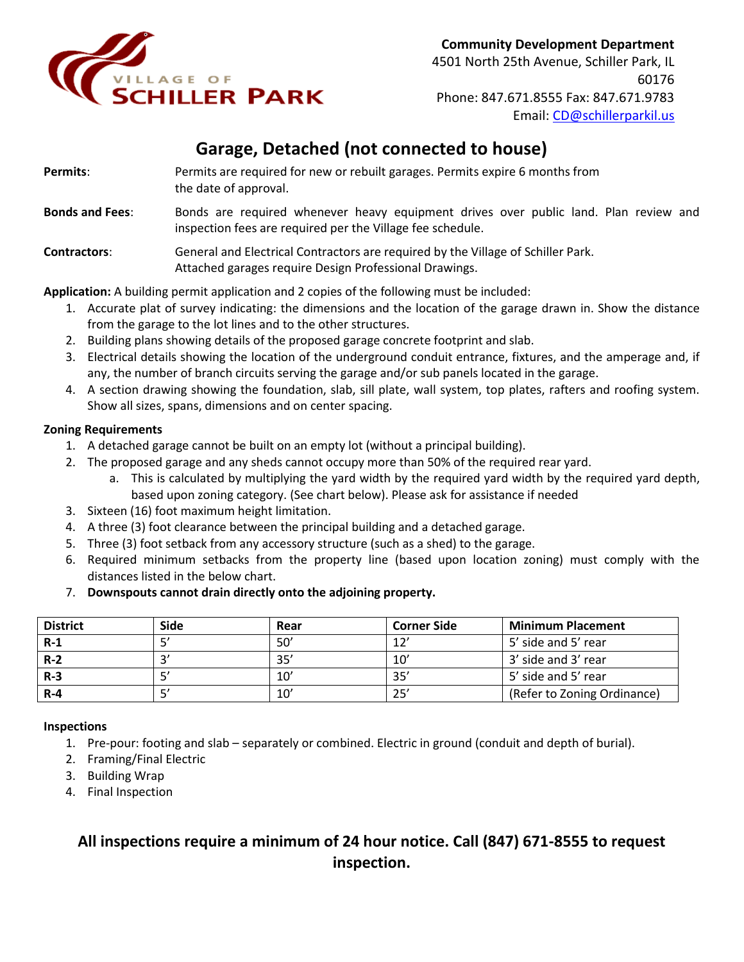

# **Garage, Detached (not connected to house)**

| Permits:               | Permits are required for new or rebuilt garages. Permits expire 6 months from<br>the date of approval.                                             |  |  |  |
|------------------------|----------------------------------------------------------------------------------------------------------------------------------------------------|--|--|--|
| <b>Bonds and Fees:</b> | Bonds are required whenever heavy equipment drives over public land. Plan review and<br>inspection fees are required per the Village fee schedule. |  |  |  |
| <b>Contractors:</b>    | General and Electrical Contractors are required by the Village of Schiller Park.<br>Attached garages require Design Professional Drawings.         |  |  |  |

**Application:** A building permit application and 2 copies of the following must be included:

- 1. Accurate plat of survey indicating: the dimensions and the location of the garage drawn in. Show the distance from the garage to the lot lines and to the other structures.
- 2. Building plans showing details of the proposed garage concrete footprint and slab.
- 3. Electrical details showing the location of the underground conduit entrance, fixtures, and the amperage and, if any, the number of branch circuits serving the garage and/or sub panels located in the garage.
- 4. A section drawing showing the foundation, slab, sill plate, wall system, top plates, rafters and roofing system. Show all sizes, spans, dimensions and on center spacing.

#### **Zoning Requirements**

- 1. A detached garage cannot be built on an empty lot (without a principal building).
- 2. The proposed garage and any sheds cannot occupy more than 50% of the required rear yard.
	- a. This is calculated by multiplying the yard width by the required yard width by the required yard depth, based upon zoning category. (See chart below). Please ask for assistance if needed
- 3. Sixteen (16) foot maximum height limitation.
- 4. A three (3) foot clearance between the principal building and a detached garage.
- 5. Three (3) foot setback from any accessory structure (such as a shed) to the garage.
- 6. Required minimum setbacks from the property line (based upon location zoning) must comply with the distances listed in the below chart.
- 7. **Downspouts cannot drain directly onto the adjoining property.**

| <b>District</b> | Side | Rear | <b>Corner Side</b> | <b>Minimum Placement</b>    |
|-----------------|------|------|--------------------|-----------------------------|
| $R-1$           |      | 50'  | 12'                | 5' side and 5' rear         |
| $R-2$           |      | 35'  | 10'                | 3' side and 3' rear         |
| $R-3$           |      | 10'  | 35'                | 5' side and 5' rear         |
| $R - 4$         |      | 10'  | 25'                | (Refer to Zoning Ordinance) |

#### **Inspections**

- 1. Pre-pour: footing and slab separately or combined. Electric in ground (conduit and depth of burial).
- 2. Framing/Final Electric
- 3. Building Wrap
- 4. Final Inspection

# **All inspections require a minimum of 24 hour notice. Call (847) 671-8555 to request inspection.**